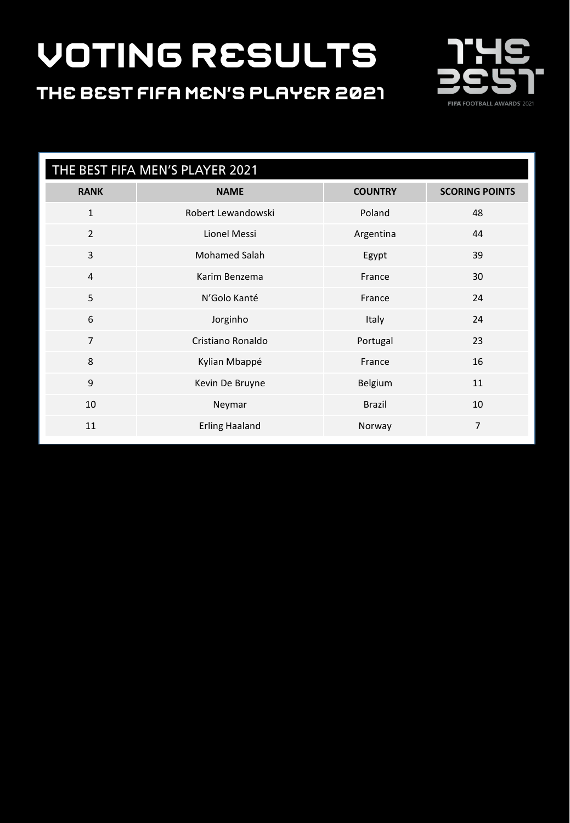#### THE BEST FIFA MEN'S PLAYER 2021



| THE BEST FIFA MEN'S PLAYER 2021 |                       |                |                       |
|---------------------------------|-----------------------|----------------|-----------------------|
| <b>RANK</b>                     | <b>NAME</b>           | <b>COUNTRY</b> | <b>SCORING POINTS</b> |
| $\mathbf{1}$                    | Robert Lewandowski    | Poland         | 48                    |
| $\overline{2}$                  | Lionel Messi          | Argentina      | 44                    |
| 3                               | <b>Mohamed Salah</b>  | Egypt          | 39                    |
| $\overline{4}$                  | Karim Benzema         | France         | 30                    |
| 5                               | N'Golo Kanté          | France         | 24                    |
| 6                               | Jorginho              | Italy          | 24                    |
| $\overline{7}$                  | Cristiano Ronaldo     | Portugal       | 23                    |
| 8                               | Kylian Mbappé         | France         | 16                    |
| 9                               | Kevin De Bruyne       | Belgium        | 11                    |
| 10                              | Neymar                | <b>Brazil</b>  | 10                    |
| 11                              | <b>Erling Haaland</b> | Norway         | $\overline{7}$        |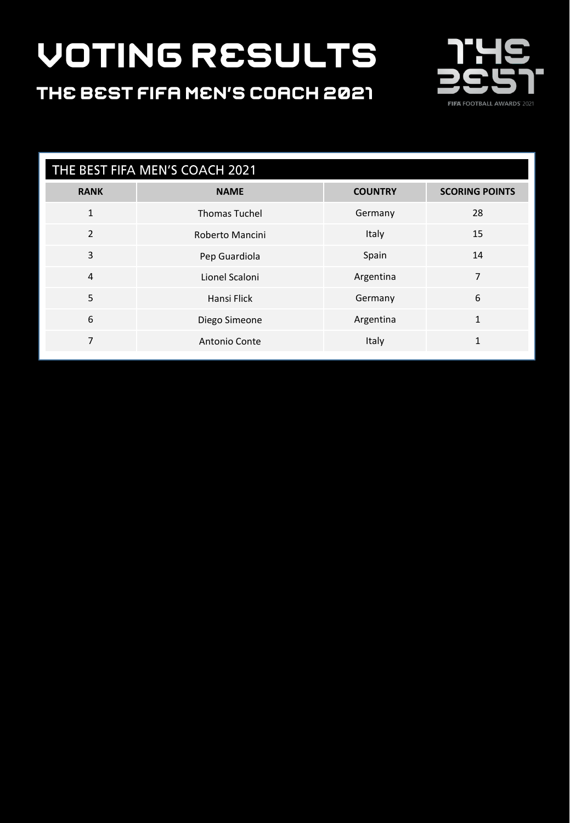### THE BEST FIFA MEN'S COACH 2021



| THE BEST FIFA MEN'S COACH 2021 |                      |                |                       |
|--------------------------------|----------------------|----------------|-----------------------|
| <b>RANK</b>                    | <b>NAME</b>          | <b>COUNTRY</b> | <b>SCORING POINTS</b> |
| $\mathbf{1}$                   | <b>Thomas Tuchel</b> | Germany        | 28                    |
| 2                              | Roberto Mancini      | Italy          | 15                    |
| 3                              | Pep Guardiola        | Spain          | 14                    |
| $\overline{4}$                 | Lionel Scaloni       | Argentina      | 7                     |
| 5                              | Hansi Flick          | Germany        | 6                     |
| 6                              | Diego Simeone        | Argentina      | $\mathbf{1}$          |
| 7                              | Antonio Conte        | Italy          | $\mathbf{1}$          |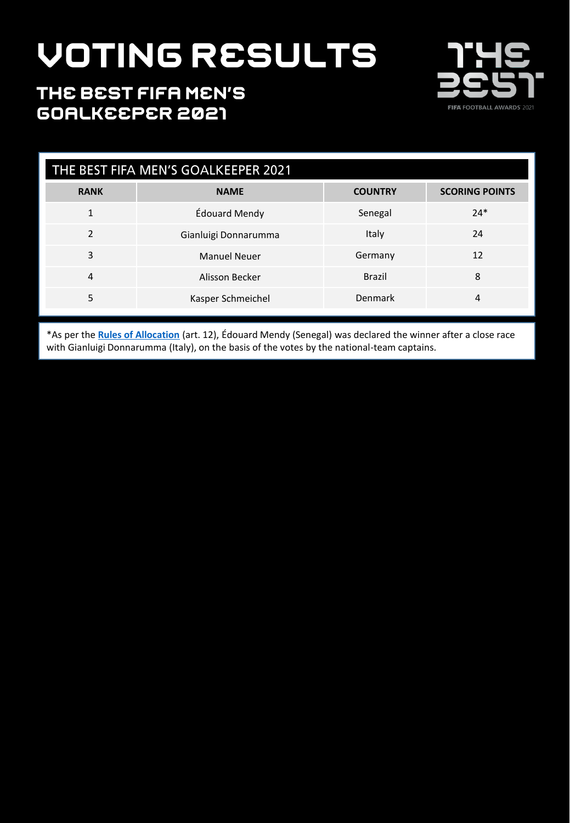

#### THE BEST FIFA MEN'S **GOALKEEPER 2021**

| THE BEST FIFA MEN'S GOALKEEPER 2021 |                      |                |                       |
|-------------------------------------|----------------------|----------------|-----------------------|
| <b>RANK</b>                         | <b>NAME</b>          | <b>COUNTRY</b> | <b>SCORING POINTS</b> |
| 1                                   | Édouard Mendy        | Senegal        | $24*$                 |
| $\mathfrak{p}$                      | Gianluigi Donnarumma | Italy          | 24                    |
| 3                                   | <b>Manuel Neuer</b>  | Germany        | 12                    |
| $\overline{4}$                      | Alisson Becker       | <b>Brazil</b>  | 8                     |
| 5                                   | Kasper Schmeichel    | Denmark        | 4                     |

\*As per the **[Rules of Allocation](https://digitalhub.fifa.com/m/62add887d2ca0a61/original/FIFA-Awards-2021_The-Best-Awards_Rules-of-allocation_EN-2.pdf)** (art. 12), Édouard Mendy (Senegal) was declared the winner after a close race with Gianluigi Donnarumma (Italy), on the basis of the votes by the national-team captains.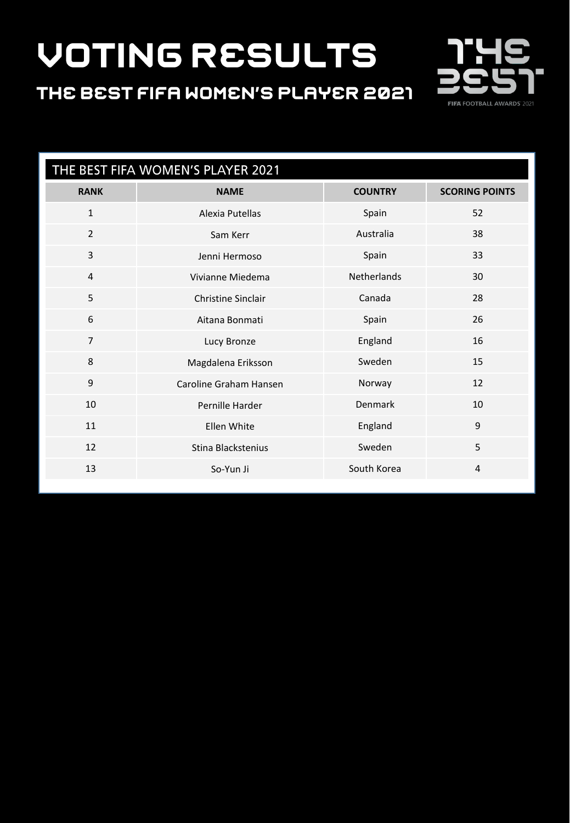THE BEST FIFA WOMEN'S PLAYER 2021



| THE BEST FIFA WOMEN'S PLAYER 2021 |                           |                    |                       |
|-----------------------------------|---------------------------|--------------------|-----------------------|
| <b>RANK</b>                       | <b>NAME</b>               | <b>COUNTRY</b>     | <b>SCORING POINTS</b> |
| $\mathbf{1}$                      | Alexia Putellas           | Spain              | 52                    |
| 2                                 | Sam Kerr                  | Australia          | 38                    |
| 3                                 | Jenni Hermoso             | Spain              | 33                    |
| $\overline{4}$                    | Vivianne Miedema          | <b>Netherlands</b> | 30                    |
| 5                                 | <b>Christine Sinclair</b> | Canada             | 28                    |
| 6                                 | Aitana Bonmati            | Spain              | 26                    |
| $\overline{7}$                    | Lucy Bronze               | England            | 16                    |
| 8                                 | Magdalena Eriksson        | Sweden             | 15                    |
| 9                                 | Caroline Graham Hansen    | Norway             | 12                    |
| 10                                | Pernille Harder           | Denmark            | 10                    |
| 11                                | Ellen White               | England            | 9                     |
| 12                                | Stina Blackstenius        | Sweden             | 5                     |
| 13                                | So-Yun Ji                 | South Korea        | 4                     |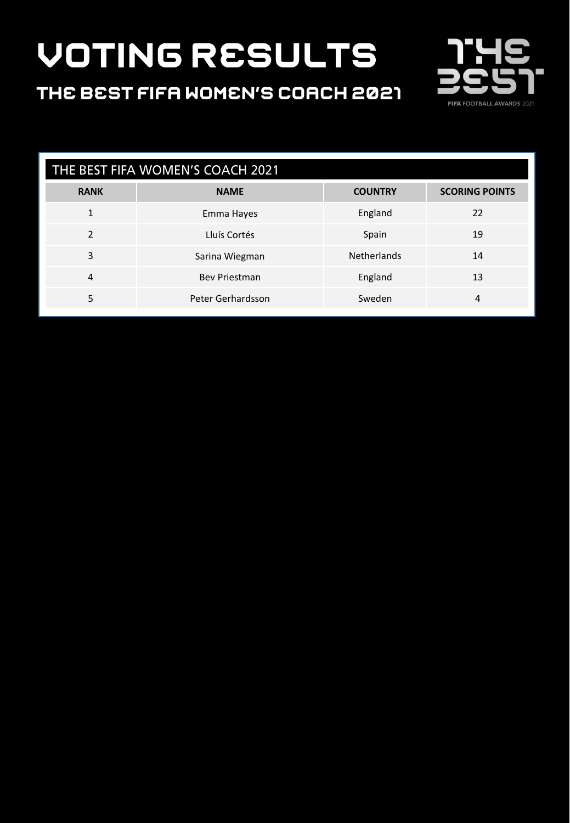### THE BEST FIFA WOMEN'S COACH 2021



| THE BEST FIFA WOMEN'S COACH 2021 |                      |                    |                       |
|----------------------------------|----------------------|--------------------|-----------------------|
| <b>RANK</b>                      | <b>NAME</b>          | <b>COUNTRY</b>     | <b>SCORING POINTS</b> |
| 1                                | Emma Hayes           | England            | 22                    |
| $\mathfrak{p}$                   | Lluís Cortés         | Spain              | 19                    |
| 3                                | Sarina Wiegman       | <b>Netherlands</b> | 14                    |
| 4                                | <b>Bev Priestman</b> | England            | 13                    |
| 5                                | Peter Gerhardsson    | Sweden             | 4                     |